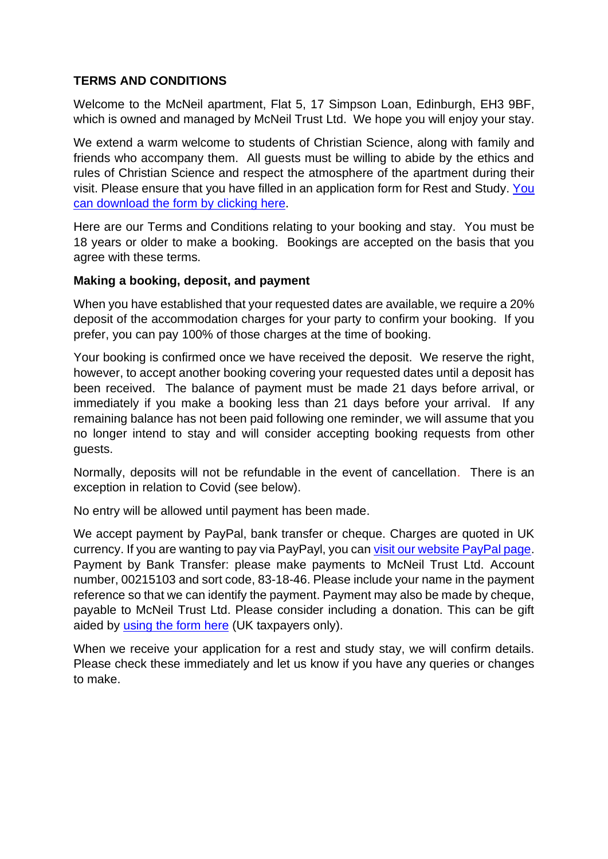### **TERMS AND CONDITIONS**

Welcome to the McNeil apartment, Flat 5, 17 Simpson Loan, Edinburgh, EH3 9BF, which is owned and managed by McNeil Trust Ltd. We hope you will enjoy your stay.

We extend a warm welcome to students of Christian Science, along with family and friends who accompany them. All guests must be willing to abide by the ethics and rules of Christian Science and respect the atmosphere of the apartment during their visit. Please ensure that you have filled in an application form for Rest and Study. [You](https://www.mcneilhouse.org/wp-content/uploads/2022/01/McNeil-APP-FORM-for-Rest-Study.pdf)  [can download the form by clicking here.](https://www.mcneilhouse.org/wp-content/uploads/2022/01/McNeil-APP-FORM-for-Rest-Study.pdf)

Here are our Terms and Conditions relating to your booking and stay. You must be 18 years or older to make a booking. Bookings are accepted on the basis that you agree with these terms.

#### **Making a booking, deposit, and payment**

When you have established that your requested dates are available, we require a 20% deposit of the accommodation charges for your party to confirm your booking. If you prefer, you can pay 100% of those charges at the time of booking.

Your booking is confirmed once we have received the deposit. We reserve the right, however, to accept another booking covering your requested dates until a deposit has been received. The balance of payment must be made 21 days before arrival, or immediately if you make a booking less than 21 days before your arrival. If any remaining balance has not been paid following one reminder, we will assume that you no longer intend to stay and will consider accepting booking requests from other guests.

Normally, deposits will not be refundable in the event of cancellation. There is an exception in relation to Covid (see below).

No entry will be allowed until payment has been made.

We accept payment by PayPal, bank transfer or cheque. Charges are quoted in UK currency. If you are wanting to pay via PayPayl, you can [visit our website PayPal page.](https://www.mcneilhouse.org/make-a-payment-with-paypal/) Payment by Bank Transfer: please make payments to McNeil Trust Ltd. Account number, 00215103 and sort code, 83-18-46. Please include your name in the payment reference so that we can identify the payment. Payment may also be made by cheque, payable to McNeil Trust Ltd. Please consider including a donation. This can be gift aided by [using the form here](https://www.mcneilhouse.org/wp-content/uploads/2022/01/McNeil-Gift-Aid.pdf) (UK taxpayers only).

When we receive your application for a rest and study stay, we will confirm details. Please check these immediately and let us know if you have any queries or changes to make.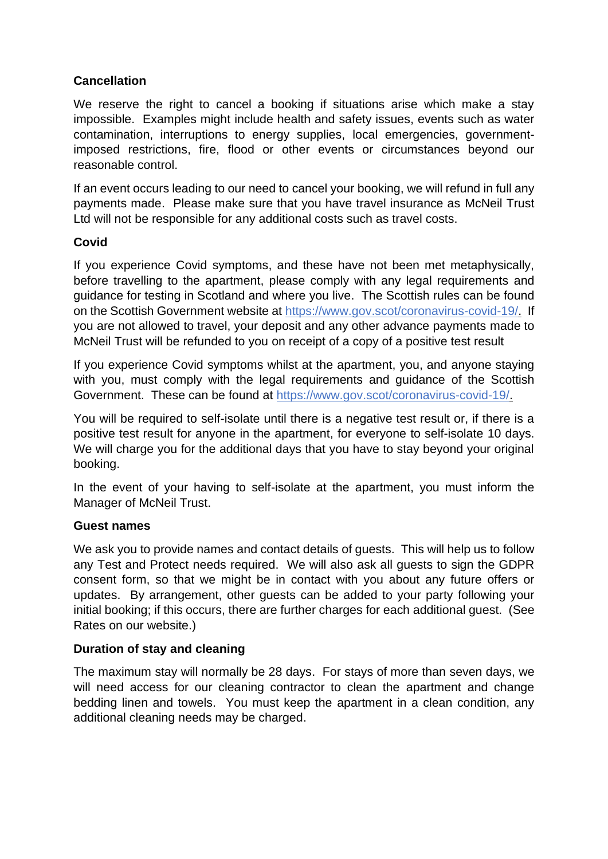# **Cancellation**

We reserve the right to cancel a booking if situations arise which make a stay impossible. Examples might include health and safety issues, events such as water contamination, interruptions to energy supplies, local emergencies, governmentimposed restrictions, fire, flood or other events or circumstances beyond our reasonable control.

If an event occurs leading to our need to cancel your booking, we will refund in full any payments made. Please make sure that you have travel insurance as McNeil Trust Ltd will not be responsible for any additional costs such as travel costs.

# **Covid**

If you experience Covid symptoms, and these have not been met metaphysically, before travelling to the apartment, please comply with any legal requirements and guidance for testing in Scotland and where you live. The Scottish rules can be found on the Scottish Government website at [https://www.gov.scot/coronavirus-covid-19/.](https://www.gov.scot/coronavirus-covid-19/) If you are not allowed to travel, your deposit and any other advance payments made to McNeil Trust will be refunded to you on receipt of a copy of a positive test result

If you experience Covid symptoms whilst at the apartment, you, and anyone staying with you, must comply with the legal requirements and guidance of the Scottish Government. These can be found at [https://www.gov.scot/coronavirus-covid-19/.](https://www.gov.scot/coronavirus-covid-19/)

You will be required to self-isolate until there is a negative test result or, if there is a positive test result for anyone in the apartment, for everyone to self-isolate 10 days. We will charge you for the additional days that you have to stay beyond your original booking.

In the event of your having to self-isolate at the apartment, you must inform the Manager of McNeil Trust.

# **Guest names**

We ask you to provide names and contact details of guests. This will help us to follow any Test and Protect needs required. We will also ask all guests to sign the GDPR consent form, so that we might be in contact with you about any future offers or updates. By arrangement, other guests can be added to your party following your initial booking; if this occurs, there are further charges for each additional guest. (See Rates on our website.)

# **Duration of stay and cleaning**

The maximum stay will normally be 28 days. For stays of more than seven days, we will need access for our cleaning contractor to clean the apartment and change bedding linen and towels. You must keep the apartment in a clean condition, any additional cleaning needs may be charged.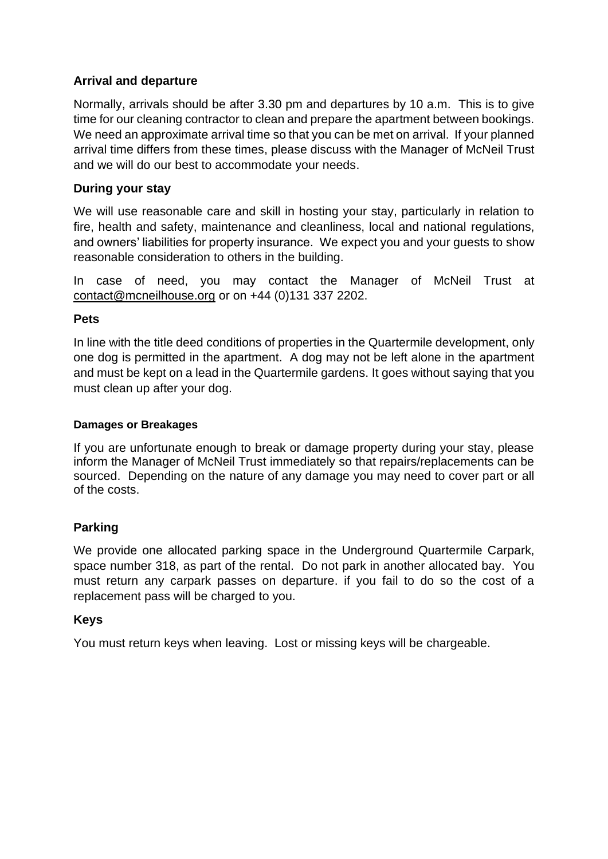# **Arrival and departure**

Normally, arrivals should be after 3.30 pm and departures by 10 a.m. This is to give time for our cleaning contractor to clean and prepare the apartment between bookings. We need an approximate arrival time so that you can be met on arrival. If your planned arrival time differs from these times, please discuss with the Manager of McNeil Trust and we will do our best to accommodate your needs.

### **During your stay**

We will use reasonable care and skill in hosting your stay, particularly in relation to fire, health and safety, maintenance and cleanliness, local and national regulations, and owners' liabilities for property insurance. We expect you and your guests to show reasonable consideration to others in the building.

In case of need, you may contact the Manager of McNeil Trust at [contact@mcneilhouse.org](mailto:contact@mcneilhouse.org) or on +44 (0)131 337 2202.

#### **Pets**

In line with the title deed conditions of properties in the Quartermile development, only one dog is permitted in the apartment. A dog may not be left alone in the apartment and must be kept on a lead in the Quartermile gardens. It goes without saying that you must clean up after your dog.

#### **Damages or Breakages**

If you are unfortunate enough to break or damage property during your stay, please inform the Manager of McNeil Trust immediately so that repairs/replacements can be sourced. Depending on the nature of any damage you may need to cover part or all of the costs.

# **Parking**

We provide one allocated parking space in the Underground Quartermile Carpark, space number 318, as part of the rental. Do not park in another allocated bay. You must return any carpark passes on departure. if you fail to do so the cost of a replacement pass will be charged to you.

#### **Keys**

You must return keys when leaving. Lost or missing keys will be chargeable.